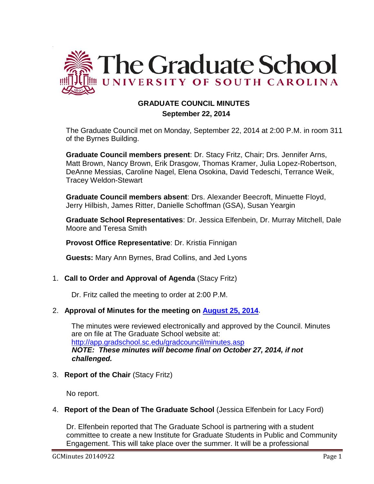

# **GRADUATE COUNCIL MINUTES**

## **September 22, 2014**

The Graduate Council met on Monday, September 22, 2014 at 2:00 P.M. in room 311 of the Byrnes Building.

**Graduate Council members present**: Dr. Stacy Fritz, Chair; Drs. Jennifer Arns, Matt Brown, Nancy Brown, Erik Drasgow, Thomas Kramer, Julia Lopez-Robertson, DeAnne Messias, Caroline Nagel, Elena Osokina, David Tedeschi, Terrance Weik, Tracey Weldon-Stewart

**Graduate Council members absent**: Drs. Alexander Beecroft, Minuette Floyd, Jerry Hilbish, James Ritter, Danielle Schoffman (GSA), Susan Yeargin

**Graduate School Representatives**: Dr. Jessica Elfenbein, Dr. Murray Mitchell, Dale Moore and Teresa Smith

**Provost Office Representative**: Dr. Kristia Finnigan

**Guests:** Mary Ann Byrnes, Brad Collins, and Jed Lyons

# 1. **Call to Order and Approval of Agenda** (Stacy Fritz)

Dr. Fritz called the meeting to order at 2:00 P.M.

# 2. **Approval of Minutes for the meeting on [August 25, 2014](http://gradschool.sc.edu/facstaff/gradcouncil/2014/GC%20Minutes%208-25-14mm%20w%20attachments3.pdf)**.

The minutes were reviewed electronically and approved by the Council. Minutes are on file at The Graduate School website at: <http://app.gradschool.sc.edu/gradcouncil/minutes.asp> *NOTE: These minutes will become final on October 27, 2014, if not challenged.*

# 3. **Report of the Chair** (Stacy Fritz)

No report.

.

# 4. **Report of the Dean of The Graduate School** (Jessica Elfenbein for Lacy Ford)

Dr. Elfenbein reported that The Graduate School is partnering with a student committee to create a new Institute for Graduate Students in Public and Community Engagement. This will take place over the summer. It will be a professional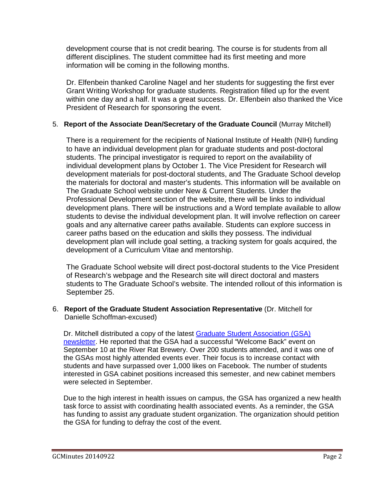development course that is not credit bearing. The course is for students from all different disciplines. The student committee had its first meeting and more information will be coming in the following months.

Dr. Elfenbein thanked Caroline Nagel and her students for suggesting the first ever Grant Writing Workshop for graduate students. Registration filled up for the event within one day and a half. It was a great success. Dr. Elfenbein also thanked the Vice President of Research for sponsoring the event.

# 5. **Report of the Associate Dean/Secretary of the Graduate Council** (Murray Mitchell)

There is a requirement for the recipients of National Institute of Health (NIH) funding to have an individual development plan for graduate students and post-doctoral students. The principal investigator is required to report on the availability of individual development plans by October 1. The Vice President for Research will development materials for post-doctoral students, and The Graduate School develop the materials for doctoral and master's students. This information will be available on The Graduate School website under New & Current Students. Under the Professional Development section of the website, there will be links to individual development plans. There will be instructions and a Word template available to allow students to devise the individual development plan. It will involve reflection on career goals and any alternative career paths available. Students can explore success in career paths based on the education and skills they possess. The individual development plan will include goal setting, a tracking system for goals acquired, the development of a Curriculum Vitae and mentorship.

The Graduate School website will direct post-doctoral students to the Vice President of Research's webpage and the Research site will direct doctoral and masters students to The Graduate School's website. The intended rollout of this information is September 25.

# 6. **Report of the Graduate Student Association Representative** (Dr. Mitchell for Danielle Schoffman-excused)

Dr. Mitchell distributed a copy of the latest [Graduate Student Association \(GSA\)](http://gradschool.sc.edu/facstaff/gradcouncil/2014/GSA%20Newsletter%209-24-14.pdf) [newsletter.](http://gradschool.sc.edu/facstaff/gradcouncil/2014/GSA%20Newsletter%209-24-14.pdf) He reported that the GSA had a successful "Welcome Back" event on September 10 at the River Rat Brewery. Over 200 students attended, and it was one of the GSAs most highly attended events ever. Their focus is to increase contact with students and have surpassed over 1,000 likes on Facebook. The number of students interested in GSA cabinet positions increased this semester, and new cabinet members were selected in September.

Due to the high interest in health issues on campus, the GSA has organized a new health task force to assist with coordinating health associated events. As a reminder, the GSA has funding to assist any graduate student organization. The organization should petition the GSA for funding to defray the cost of the event.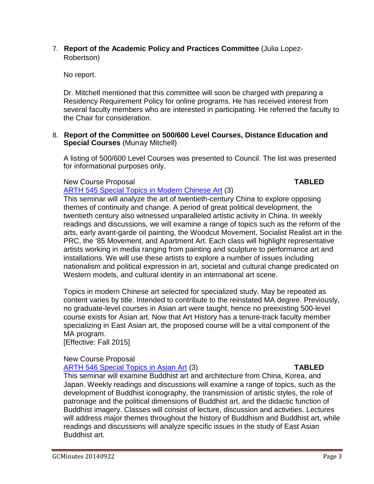## 7. **Report of the Academic Policy and Practices Committee** (Julia Lopez-Robertson)

No report.

Dr. Mitchell mentioned that this committee will soon be charged with preparing a Residency Requirement Policy for online programs. He has received interest from several faculty members who are interested in participating. He referred the faculty to the Chair for consideration.

## 8. **Report of the Committee on 500/600 Level Courses, Distance Education and Special Courses** (Murray Mitchell)

A listing of 500/600 Level Courses was presented to Council. The list was presented for informational purposes only.

# New Course Proposal **TABLED**

[ARTH 545 Special Topics in Modern Chinese Art](http://gradschool.sc.edu/facstaff/gradcouncil/2014/ARTH%20545_Redacted1.pdf) (3)

This seminar will analyze the art of twentieth-century China to explore opposing themes of continuity and change. A period of great political development, the twentieth century also witnessed unparalleled artistic activity in China. In weekly readings and discussions, we will examine a range of topics such as the reform of the arts, early avant-garde oil painting, the Woodcut Movement, Socialist Realist art in the PRC, the '85 Movement, and Apartment Art. Each class will highlight representative artists working in media ranging from painting and sculpture to performance art and installations. We will use these artists to explore a number of issues including nationalism and political expression in art, societal and cultural change predicated on Western models, and cultural identity in an international art scene.

Topics in modern Chinese art selected for specialized study. May be repeated as content varies by title. Intended to contribute to the reinstated MA degree. Previously, no graduate-level courses in Asian art were taught, hence no preexisting 500-level course exists for Asian art. Now that Art History has a tenure-track faculty member specializing in East Asian art, the proposed course will be a vital component of the MA program.

[Effective: Fall 2015]

# New Course Proposal

# [ARTH 546 Special Topics in Asian Art](http://gradschool.sc.edu/facstaff/gradcouncil/2014/ARTH%20546_Redacted1.pdf) (3) **TABLED**

This seminar will examine Buddhist art and architecture from China, Korea, and Japan. Weekly readings and discussions will examine a range of topics, such as the development of Buddhist iconography, the transmission of artistic styles, the role of patronage and the political dimensions of Buddhist art, and the didactic function of Buddhist imagery. Classes will consist of lecture, discussion and activities. Lectures will address major themes throughout the history of Buddhism and Buddhist art, while readings and discussions will analyze specific issues in the study of East Asian Buddhist art.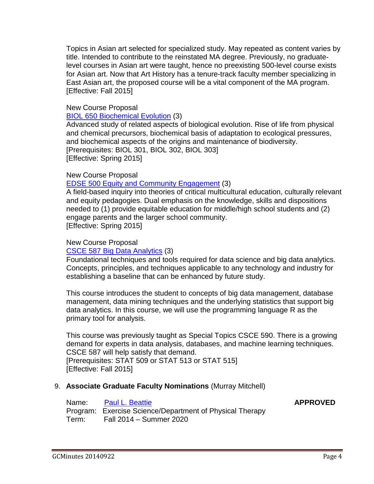Topics in Asian art selected for specialized study. May repeated as content varies by title. Intended to contribute to the reinstated MA degree. Previously, no graduatelevel courses in Asian art were taught, hence no preexisting 500-level course exists for Asian art. Now that Art History has a tenure-track faculty member specializing in East Asian art, the proposed course will be a vital component of the MA program. [Effective: Fall 2015]

### New Course Proposal

[BIOL 650 Biochemical Evolution](http://gradschool.sc.edu/facstaff/gradcouncil/2014/BIOL%20650_Redacted.pdf) (3)

Advanced study of related aspects of biological evolution. Rise of life from physical and chemical precursors, biochemical basis of adaptation to ecological pressures, and biochemical aspects of the origins and maintenance of biodiversity. [Prerequisites: BIOL 301, BIOL 302, BIOL 303] [Effective: Spring 2015]

### New Course Proposal

### [EDSE 500 Equity and Community Engagement](http://gradschool.sc.edu/facstaff/gradcouncil/2014/EDSE%20500_Redacted1.pdf) (3)

A field-based inquiry into theories of critical multicultural education, culturally relevant and equity pedagogies. Dual emphasis on the knowledge, skills and dispositions needed to (1) provide equitable education for middle/high school students and (2) engage parents and the larger school community. [Effective: Spring 2015]

### New Course Proposal

### [CSCE 587 Big Data Analytics](http://gradschool.sc.edu/facstaff/gradcouncil/2014/CSCE%20587_Redacted1.pdf) (3)

Foundational techniques and tools required for data science and big data analytics. Concepts, principles, and techniques applicable to any technology and industry for establishing a baseline that can be enhanced by future study.

This course introduces the student to concepts of big data management, database management, data mining techniques and the underlying statistics that support big data analytics. In this course, we will use the programming language R as the primary tool for analysis.

This course was previously taught as Special Topics CSCE 590. There is a growing demand for experts in data analysis, databases, and machine learning techniques. CSCE 587 will help satisfy that demand. [Prerequisites: STAT 509 or STAT 513 or STAT 515] [Effective: Fall 2015]

### 9. **Associate Graduate Faculty Nominations** (Murray Mitchell)

| Name: | <b>Paul L. Beattie</b>                                   |
|-------|----------------------------------------------------------|
|       | Program: Exercise Science/Department of Physical Therapy |
| Term: | Fall 2014 – Summer 2020                                  |

Name: [Paul L. Beattie](http://gradschool.sc.edu/facstaff/gradcouncil/2014/Beattie,%20Paul%20L.pdf) **APPROVED**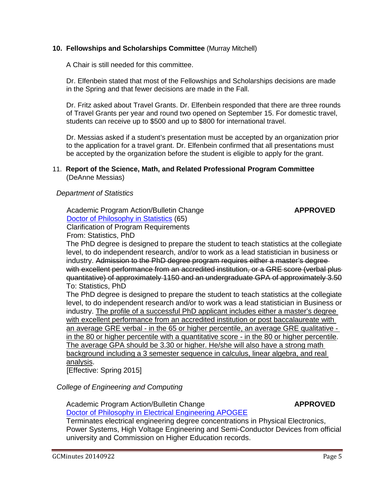## **10. Fellowships and Scholarships Committee** (Murray Mitchell)

A Chair is still needed for this committee.

Dr. Elfenbein stated that most of the Fellowships and Scholarships decisions are made in the Spring and that fewer decisions are made in the Fall.

Dr. Fritz asked about Travel Grants. Dr. Elfenbein responded that there are three rounds of Travel Grants per year and round two opened on September 15. For domestic travel, students can receive up to \$500 and up to \$800 for international travel.

Dr. Messias asked if a student's presentation must be accepted by an organization prior to the application for a travel grant. Dr. Elfenbein confirmed that all presentations must be accepted by the organization before the student is eligible to apply for the grant.

### 11. **Report of the Science, Math, and Related Professional Program Committee** (DeAnne Messias)

## *Department of Statistics*

Academic Program Action/Bulletin Change **APPROVED**  [Doctor of Philosophy in Statistics](http://gradschool.sc.edu/facstaff/gradcouncil/2014/APA%20Statistics%20Doctor%20of%20Philosophy_Redacted.pdf) (65) Clarification of Program Requirements From: Statistics, PhD

The PhD degree is designed to prepare the student to teach statistics at the collegiate level, to do independent research, and/or to work as a lead statistician in business or industry. Admission to the PhD degree program requires either a master's degree with excellent performance from an accredited institution, or a GRE score (verbal plus quantitative) of approximately 1150 and an undergraduate GPA of approximately 3.50 To: Statistics, PhD

The PhD degree is designed to prepare the student to teach statistics at the collegiate level, to do independent research and/or to work was a lead statistician in Business or industry. The profile of a successful PhD applicant includes either a master's degree with excellent performance from an accredited institution or post baccalaureate with an average GRE verbal - in the 65 or higher percentile, an average GRE qualitative in the 80 or higher percentile with a quantitative score - in the 80 or higher percentile. The average GPA should be 3.30 or higher. He/she will also have a strong math background including a 3 semester sequence in calculus, linear algebra, and real analysis.

[Effective: Spring 2015]

 *College of Engineering and Computing*

Academic Program Action/Bulletin Change **APPROVED** 

[Doctor of Philosophy in Electrical Engineering APOGEE](http://gradschool.sc.edu/facstaff/gradcouncil/2014/APA%20Terminating%20Unused%20Concentrations%20in%20PhD%20APOGEE%20Electrical%20Engineering.pdf)

Terminates electrical engineering degree concentrations in Physical Electronics, Power Systems, High Voltage Engineering and Semi-Conductor Devices from official university and Commission on Higher Education records.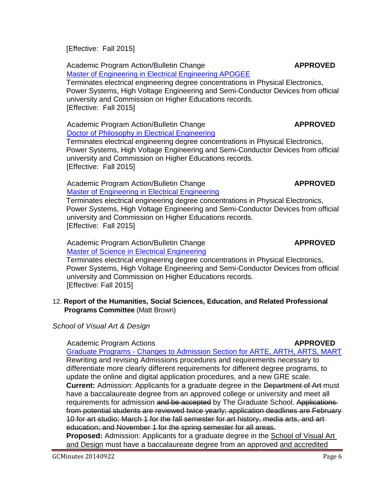[Effective: Fall 2015]

 Academic Program Action/Bulletin Change **APPROVED**  [Master of Engineering in Electrical Engineering APOGEE](http://gradschool.sc.edu/facstaff/gradcouncil/2014/APA%20Terminating%20Unused%20Concentrations%20in%20ME%20APOGEE%20Electrical%20Engineering1.pdf)

Terminates electrical engineering degree concentrations in Physical Electronics, Power Systems, High Voltage Engineering and Semi-Conductor Devices from official university and Commission on Higher Educations records. [Effective: Fall 2015]

 Academic Program Action/Bulletin Change **APPROVED** [Doctor of Philosophy in Electrical Engineering](http://gradschool.sc.edu/facstaff/gradcouncil/2014/APA%20Terminating%20Unused%20Concentrations%20in%20PhD%20Electrical%20Engineering1.pdf)

Terminates electrical engineering degree concentrations in Physical Electronics, Power Systems, High Voltage Engineering and Semi-Conductor Devices from official university and Commission on Higher Educations records. [Effective: Fall 2015]

### Academic Program Action/Bulletin Change **APPROVED** [Master of Engineering in Electrical Engineering](http://gradschool.sc.edu/facstaff/gradcouncil/2014/APA%20Terminating%20Unused%20Concentrations%20in%20ME%20Electrical%20Engineering1.pdf)

Terminates electrical engineering degree concentrations in Physical Electronics, Power Systems, High Voltage Engineering and Semi-Conductor Devices from official university and Commission on Higher Educations records. [Effective: Fall 2015]

Academic Program Action/Bulletin Change **APPROVED** [Master of Science in Electrical Engineering](http://gradschool.sc.edu/facstaff/gradcouncil/2014/APA%20Terminating%20Unused%20Concentrations%20in%20MS%20Electrical%20Engineering1.pdf)

Terminates electrical engineering degree concentrations in Physical Electronics, Power Systems, High Voltage Engineering and Semi-Conductor Devices from official university and Commission on Higher Educations records. [Effective: Fall 2015]

# 12. **Report of the Humanities, Social Sciences, Education, and Related Professional Programs Committee** (Matt Brown)

*School of Visual Art & Design*

# Academic Program Actions **APPROVED**

Graduate Programs - [Changes to Admission Section for ARTE, ARTH, ARTS, MART](http://gradschool.sc.edu/facstaff/gradcouncil/2014/School%20of%20VA&D%20APA%20Revised%20-%20change%20to%20admissions_Redacted.pdf) Rewriting and revising Admissions procedures and requirements necessary to differentiate more clearly different requirements for different degree programs, to update the online and digital application procedures, and a new GRE scale. **Current:** Admission: Applicants for a graduate degree in the Department of Art must have a baccalaureate degree from an approved college or university and meet all requirements for admission and be accepted by The Graduate School. Applications from potential students are reviewed twice yearly; application deadlines are February 10 for art studio; March 1 for the fall semester for art history, media arts, and art education; and November 1 for the spring semester for all areas.

**Proposed:** Admission: Applicants for a graduate degree in the **School of Visual Art** and Design must have a baccalaureate degree from an approved and accredited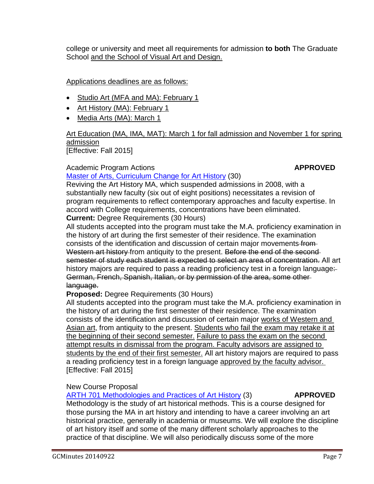college or university and meet all requirements for admission **to both** The Graduate School and the School of Visual Art and Design.

# Applications deadlines are as follows:

- Studio Art (MFA and MA): February 1
- Art History (MA): February 1
- Media Arts (MA): March 1

### Art Education (MA, IMA, MAT): March 1 for fall admission and November 1 for spring admission [Effective: Fall 2015]

# Academic Program Actions **APPROVED**

# [Master of Arts, Curriculum Change for Art History](http://gradschool.sc.edu/facstaff/gradcouncil/2014/ARTH%20MA%20curr%20change%20for%202015-2016%20revised%20September%2018%202014_Redacted.pdf) (30)

Reviving the Art History MA, which suspended admissions in 2008, with a substantially new faculty (six out of eight positions) necessitates a revision of program requirements to reflect contemporary approaches and faculty expertise. In accord with College requirements, concentrations have been eliminated. **Current:** Degree Requirements (30 Hours)

All students accepted into the program must take the M.A. proficiency examination in the history of art during the first semester of their residence. The examination consists of the identification and discussion of certain major movements from-Western art history from antiquity to the present. Before the end of the secondsemester of study each student is expected to select an area of concentration. All art history majors are required to pass a reading proficiency test in a foreign language: German, French, Spanish, Italian, or by permission of the area, some other language.

# **Proposed:** Degree Requirements (30 Hours)

All students accepted into the program must take the M.A. proficiency examination in the history of art during the first semester of their residence. The examination consists of the identification and discussion of certain major works of Western and Asian art, from antiquity to the present. Students who fail the exam may retake it at the beginning of their second semester. Failure to pass the exam on the second attempt results in dismissal from the program. Faculty advisors are assigned to students by the end of their first semester. All art history majors are required to pass a reading proficiency test in a foreign language approved by the faculty advisor. [Effective: Fall 2015]

# New Course Proposal

# [ARTH 701 Methodologies and Practices of Art History](http://gradschool.sc.edu/facstaff/gradcouncil/2014/ARTH%20701%20NCP%20revised%20September%2018%202014_Redacted.pdf) (3) **APPROVED**

Methodology is the study of art historical methods. This is a course designed for those pursing the MA in art history and intending to have a career involving an art historical practice, generally in academia or museums. We will explore the discipline of art history itself and some of the many different scholarly approaches to the practice of that discipline. We will also periodically discuss some of the more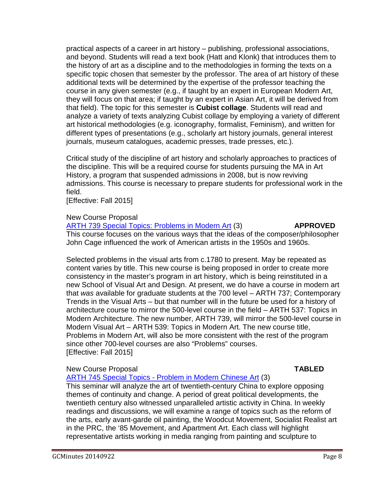practical aspects of a career in art history – publishing, professional associations, and beyond. Students will read a text book (Hatt and Klonk) that introduces them to the history of art as a discipline and to the methodologies in forming the texts on a specific topic chosen that semester by the professor. The area of art history of these additional texts will be determined by the expertise of the professor teaching the course in any given semester (e.g., if taught by an expert in European Modern Art, they will focus on that area; if taught by an expert in Asian Art, it will be derived from that field). The topic for this semester is **Cubist collage**. Students will read and analyze a variety of texts analyzing Cubist collage by employing a variety of different art historical methodologies (e.g. iconography, formalist, Feminism), and written for different types of presentations (e.g., scholarly art history journals, general interest journals, museum catalogues, academic presses, trade presses, etc.).

Critical study of the discipline of art history and scholarly approaches to practices of the discipline. This will be a required course for students pursuing the MA in Art History, a program that suspended admissions in 2008, but is now reviving admissions. This course is necessary to prepare students for professional work in the field.

[Effective: Fall 2015]

### New Course Proposal

[ARTH 739 Special Topics: Problems in Modern Art](http://gradschool.sc.edu/facstaff/gradcouncil/2014/ARTH%20739%20NCP%20revised%20September%2018%202014_Redacted.pdf) (3) **APPROVED** This course focuses on the various ways that the ideas of the composer/philosopher John Cage influenced the work of American artists in the 1950s and 1960s.

Selected problems in the visual arts from c.1780 to present. May be repeated as content varies by title. This new course is being proposed in order to create more consistency in the master's program in art history, which is being reinstituted in a new School of Visual Art and Design. At present, we do have a course in modern art that *was* available for graduate students at the 700 level – ARTH 737; Contemporary Trends in the Visual Arts – but that number will in the future be used for a history of architecture course to mirror the 500-level course in the field – ARTH 537: Topics in Modern Architecture. The new number, ARTH 739, will mirror the 500-level course in Modern Visual Art – ARTH 539: Topics in Modern Art. The new course title, Problems in Modern Art, will also be more consistent with the rest of the program since other 700-level courses are also "Problems" courses. [Effective: Fall 2015]

# New Course Proposal **TABLED**

ARTH 745 Special Topics - [Problem in Modern Chinese Art](http://gradschool.sc.edu/facstaff/gradcouncil/2014/ARTH%20745%20NCP%20Special%20Topics%20Probs%20in%20Modern%20Chinese_Redacted1.pdf) (3)

This seminar will analyze the art of twentieth-century China to explore opposing themes of continuity and change. A period of great political developments, the twentieth century also witnessed unparalleled artistic activity in China. In weekly readings and discussions, we will examine a range of topics such as the reform of the arts, early avant-garde oil painting, the Woodcut Movement, Socialist Realist art in the PRC, the '85 Movement, and Apartment Art. Each class will highlight representative artists working in media ranging from painting and sculpture to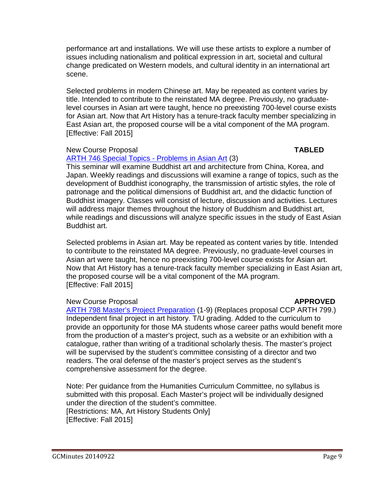performance art and installations. We will use these artists to explore a number of issues including nationalism and political expression in art, societal and cultural change predicated on Western models, and cultural identity in an international art scene.

Selected problems in modern Chinese art. May be repeated as content varies by title. Intended to contribute to the reinstated MA degree. Previously, no graduatelevel courses in Asian art were taught, hence no preexisting 700-level course exists for Asian art. Now that Art History has a tenure-track faculty member specializing in East Asian art, the proposed course will be a vital component of the MA program. [Effective: Fall 2015]

# New Course Proposal **TABLED**

# [ARTH 746 Special Topics -](http://gradschool.sc.edu/facstaff/gradcouncil/2014/ARTH%20746%20NCP%20Special%20Topics%20Probs%20Asian%20Art_Redacted1.pdf) Problems in Asian Art (3)

This seminar will examine Buddhist art and architecture from China, Korea, and Japan. Weekly readings and discussions will examine a range of topics, such as the development of Buddhist iconography, the transmission of artistic styles, the role of patronage and the political dimensions of Buddhist art, and the didactic function of Buddhist imagery. Classes will consist of lecture, discussion and activities. Lectures will address major themes throughout the history of Buddhism and Buddhist art, while readings and discussions will analyze specific issues in the study of East Asian Buddhist art.

Selected problems in Asian art. May be repeated as content varies by title. Intended to contribute to the reinstated MA degree. Previously, no graduate-level courses in Asian art were taught, hence no preexisting 700-level course exists for Asian art. Now that Art History has a tenure-track faculty member specializing in East Asian art, the proposed course will be a vital component of the MA program. [Effective: Fall 2015]

# New Course Proposal **APPROVED**

[ARTH 798 Master's Project Preparation](http://gradschool.sc.edu/facstaff/gradcouncil/2014/ARTH%20798%20NCP%20September%2018%202014_Redacted.pdf) (1-9) (Replaces proposal CCP ARTH 799.) Independent final project in art history. T/U grading. Added to the curriculum to provide an opportunity for those MA students whose career paths would benefit more from the production of a master's project, such as a website or an exhibition with a catalogue, rather than writing of a traditional scholarly thesis. The master's project will be supervised by the student's committee consisting of a director and two readers. The oral defense of the master's project serves as the student's comprehensive assessment for the degree.

Note: Per guidance from the Humanities Curriculum Committee, no syllabus is submitted with this proposal. Each Master's project will be individually designed under the direction of the student's committee. [Restrictions: MA, Art History Students Only] [Effective: Fall 2015]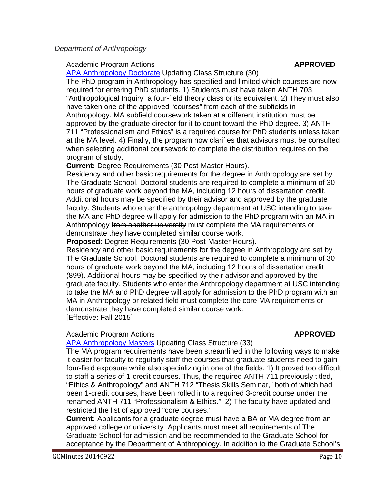# Academic Program Actions **APPROVED**

[APA Anthropology Doctorate](http://gradschool.sc.edu/facstaff/gradcouncil/2014/Anthropology%20Doctorate%20APA_Redacted.pdf) Updating Class Structure (30)

The PhD program in Anthropology has specified and limited which courses are now required for entering PhD students. 1) Students must have taken ANTH 703 "Anthropological Inquiry" a four-field theory class or its equivalent. 2) They must also have taken one of the approved "courses" from each of the subfields in Anthropology. MA subfield coursework taken at a different institution must be approved by the graduate director for it to count toward the PhD degree. 3) ANTH 711 "Professionalism and Ethics" is a required course for PhD students unless taken at the MA level. 4) Finally, the program now clarifies that advisors must be consulted when selecting additional coursework to complete the distribution requires on the program of study.

**Current:** Degree Requirements (30 Post-Master Hours).

Residency and other basic requirements for the degree in Anthropology are set by The Graduate School. Doctoral students are required to complete a minimum of 30 hours of graduate work beyond the MA, including 12 hours of dissertation credit. Additional hours may be specified by their advisor and approved by the graduate faculty. Students who enter the anthropology department at USC intending to take the MA and PhD degree will apply for admission to the PhD program with an MA in Anthropology from another university must complete the MA requirements or demonstrate they have completed similar course work.

**Proposed:** Degree Requirements (30 Post-Master Hours).

Residency and other basic requirements for the degree in Anthropology are set by The Graduate School. Doctoral students are required to complete a minimum of 30 hours of graduate work beyond the MA, including 12 hours of dissertation credit (899). Additional hours may be specified by their advisor and approved by the graduate faculty. Students who enter the Anthropology department at USC intending to take the MA and PhD degree will apply for admission to the PhD program with an MA in Anthropology or related field must complete the core MA requirements or demonstrate they have completed similar course work. [Effective: Fall 2015]

# Academic Program Actions **APPROVED**

[APA Anthropology Masters](http://gradschool.sc.edu/facstaff/gradcouncil/2014/Anthropology%20Masters%20APA_Redacted.pdf) Updating Class Structure (33)

The MA program requirements have been streamlined in the following ways to make it easier for faculty to regularly staff the courses that graduate students need to gain four-field exposure while also specializing in one of the fields. 1) It proved too difficult to staff a series of 1-credit courses. Thus, the required ANTH 711 previously titled, "Ethics & Anthropology" and ANTH 712 "Thesis Skills Seminar," both of which had been 1-credit courses, have been rolled into a required 3-credit course under the renamed ANTH 711 "Professionalism & Ethics." 2) The faculty have updated and restricted the list of approved "core courses."

**Current:** Applicants for a graduate degree must have a BA or MA degree from an approved college or university. Applicants must meet all requirements of The Graduate School for admission and be recommended to the Graduate School for acceptance by the Department of Anthropology. In addition to the Graduate School's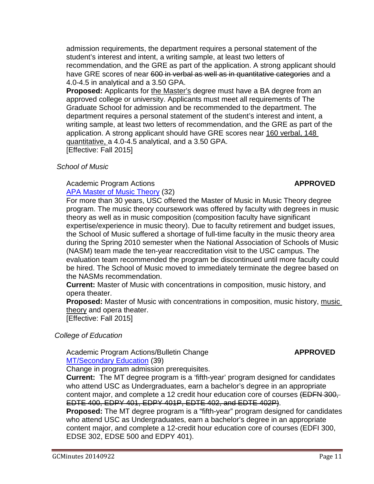admission requirements, the department requires a personal statement of the student's interest and intent, a writing sample, at least two letters of recommendation, and the GRE as part of the application. A strong applicant should have GRE scores of near 600 in verbal as well as in quantitative categories and a 4.0-4.5 in analytical and a 3.50 GPA.

**Proposed:** Applicants for the Master's degree must have a BA degree from an approved college or university. Applicants must meet all requirements of The Graduate School for admission and be recommended to the department. The department requires a personal statement of the student's interest and intent, a writing sample, at least two letters of recommendation, and the GRE as part of the application. A strong applicant should have GRE scores near 160 verbal, 148 quantitative, a 4.0-4.5 analytical, and a 3.50 GPA. [Effective: Fall 2015]

## *School of Music*

### Academic Program Actions **APPROVED** [APA Master of Music Theory](http://gradschool.sc.edu/facstaff/gradcouncil/2014/APA%20Master%20of%20Music%20Music%20Theory%208-4-14_Redacted.pdf) (32)

For more than 30 years, USC offered the Master of Music in Music Theory degree program. The music theory coursework was offered by faculty with degrees in music theory as well as in music composition (composition faculty have significant expertise/experience in music theory). Due to faculty retirement and budget issues, the School of Music suffered a shortage of full-time faculty in the music theory area during the Spring 2010 semester when the National Association of Schools of Music (NASM) team made the ten-year reaccreditation visit to the USC campus. The evaluation team recommended the program be discontinued until more faculty could be hired. The School of Music moved to immediately terminate the degree based on the NASMs recommendation.

**Current:** Master of Music with concentrations in composition, music history, and opera theater.

**Proposed:** Master of Music with concentrations in composition, music history, music theory and opera theater.

[Effective: Fall 2015]

# *College of Education*

Academic Program Actions/Bulletin Change **APPROVED** [MT/Secondary Education](http://gradschool.sc.edu/facstaff/gradcouncil/2014/8-7%20MT-Secondary-APA-Graduate_Redacted.pdf) (39)

Change in program admission prerequisites.

**Current:** The MT degree program is a 'fifth-year' program designed for candidates who attend USC as Undergraduates, earn a bachelor's degree in an appropriate content major, and complete a 12 credit hour education core of courses (EDFN 300, EDTE 400, EDPY 401, EDPY 401P, EDTE 402, and EDTE 402P).

**Proposed:** The MT degree program is a "fifth-year" program designed for candidates who attend USC as Undergraduates, earn a bachelor's degree in an appropriate content major, and complete a 12-credit hour education core of courses (EDFI 300, EDSE 302, EDSE 500 and EDPY 401).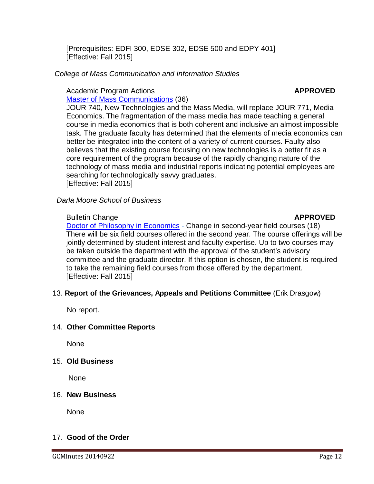[Prerequisites: EDFI 300, EDSE 302, EDSE 500 and EDPY 401] [Effective: Fall 2015]

# *College of Mass Communication and Information Studies*

# Academic Program Actions **APPROVED**

[Master of Mass Communications](http://gradschool.sc.edu/facstaff/gradcouncil/2014/Master%20of%20Mass%20Communications%20APA_Redacted1.pdf) (36)

JOUR 740, New Technologies and the Mass Media, will replace JOUR 771, Media Economics. The fragmentation of the mass media has made teaching a general course in media economics that is both coherent and inclusive an almost impossible task. The graduate faculty has determined that the elements of media economics can better be integrated into the content of a variety of current courses. Faulty also believes that the existing course focusing on new technologies is a better fit as a core requirement of the program because of the rapidly changing nature of the technology of mass media and industrial reports indicating potential employees are searching for technologically savvy graduates. [Effective: Fall 2015]

*Darla Moore School of Business*

# Bulletin Change **APPROVED**

# [Doctor of Philosophy in Economics](http://gradschool.sc.edu/facstaff/gradcouncil/2014/ECON%20PhD%20BCH_Redacted1pdf.pdf) - Change in second-year field courses (18) There will be six field courses offered in the second year. The course offerings will be jointly determined by student interest and faculty expertise. Up to two courses may be taken outside the department with the approval of the student's advisory committee and the graduate director. If this option is chosen, the student is required to take the remaining field courses from those offered by the department. [Effective: Fall 2015]

# 13. **Report of the Grievances, Appeals and Petitions Committee** (Erik Drasgow)

No report.

# 14. **Other Committee Reports**

None

# 15. **Old Business**

None

# 16. **New Business**

None

# 17. **Good of the Order**